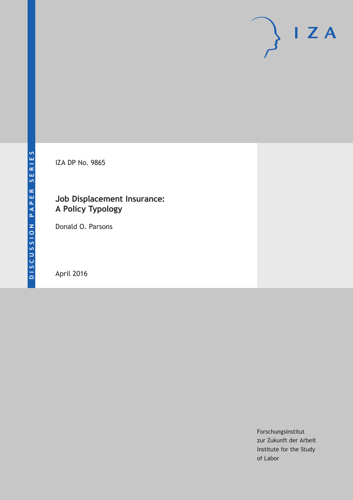IZA DP No. 9865

## **Job Displacement Insurance: A Policy Typology**

Donald O. Parsons

April 2016

Forschungsinstitut zur Zukunft der Arbeit Institute for the Study of Labor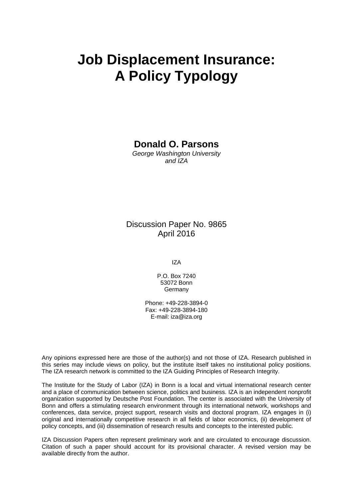# **Job Displacement Insurance: A Policy Typology**

## **Donald O. Parsons**

*George Washington University and IZA* 

## Discussion Paper No. 9865 April 2016

IZA

P.O. Box 7240 53072 Bonn Germany

Phone: +49-228-3894-0 Fax: +49-228-3894-180 E-mail: iza@iza.org

Any opinions expressed here are those of the author(s) and not those of IZA. Research published in this series may include views on policy, but the institute itself takes no institutional policy positions. The IZA research network is committed to the IZA Guiding Principles of Research Integrity.

The Institute for the Study of Labor (IZA) in Bonn is a local and virtual international research center and a place of communication between science, politics and business. IZA is an independent nonprofit organization supported by Deutsche Post Foundation. The center is associated with the University of Bonn and offers a stimulating research environment through its international network, workshops and conferences, data service, project support, research visits and doctoral program. IZA engages in (i) original and internationally competitive research in all fields of labor economics, (ii) development of policy concepts, and (iii) dissemination of research results and concepts to the interested public.

IZA Discussion Papers often represent preliminary work and are circulated to encourage discussion. Citation of such a paper should account for its provisional character. A revised version may be available directly from the author.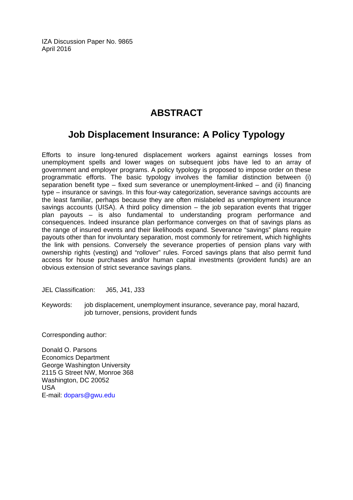IZA Discussion Paper No. 9865 April 2016

# **ABSTRACT**

# **Job Displacement Insurance: A Policy Typology**

Efforts to insure long-tenured displacement workers against earnings losses from unemployment spells and lower wages on subsequent jobs have led to an array of government and employer programs. A policy typology is proposed to impose order on these programmatic efforts. The basic typology involves the familiar distinction between (i) separation benefit type – fixed sum severance or unemployment-linked – and (ii) financing type – insurance or savings. In this four-way categorization, severance savings accounts are the least familiar, perhaps because they are often mislabeled as unemployment insurance savings accounts (UISA). A third policy dimension – the job separation events that trigger plan payouts – is also fundamental to understanding program performance and consequences. Indeed insurance plan performance converges on that of savings plans as the range of insured events and their likelihoods expand. Severance "savings" plans require payouts other than for involuntary separation, most commonly for retirement, which highlights the link with pensions. Conversely the severance properties of pension plans vary with ownership rights (vesting) and "rollover" rules. Forced savings plans that also permit fund access for house purchases and/or human capital investments (provident funds) are an obvious extension of strict severance savings plans.

JEL Classification: J65, J41, J33

Keywords: job displacement, unemployment insurance, severance pay, moral hazard, job turnover, pensions, provident funds

Corresponding author:

Donald O. Parsons Economics Department George Washington University 2115 G Street NW, Monroe 368 Washington, DC 20052 USA E-mail: dopars@gwu.edu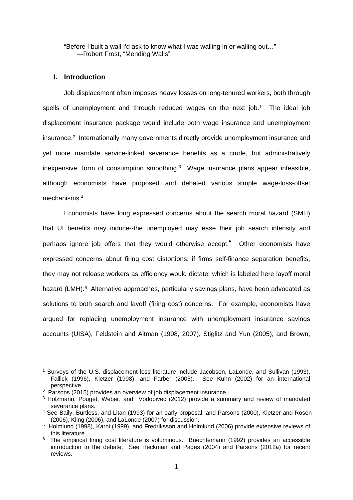"Before I built a wall I'd ask to know what I was walling in or walling out…" ---Robert Frost, "Mending Walls"

#### **I. Introduction**

1

Job displacement often imposes heavy losses on long-tenured workers, both through spells of unemployment and through reduced wages on the next  $job.^1$  The ideal  $job$ displacement insurance package would include both wage insurance and unemployment insurance.2 Internationally many governments directly provide unemployment insurance and yet more mandate service-linked severance benefits as a crude, but administratively inexpensive, form of consumption smoothing.3 Wage insurance plans appear infeasible, although economists have proposed and debated various simple wage-loss-offset mechanisms.4

Economists have long expressed concerns about the search moral hazard (SMH) that UI benefits may induce--the unemployed may ease their job search intensity and perhaps ignore job offers that they would otherwise accept.<sup>5</sup> Other economists have expressed concerns about firing cost distortions; if firms self-finance separation benefits, they may not release workers as efficiency would dictate, which is labeled here layoff moral hazard (LMH).<sup>6</sup> Alternative approaches, particularly savings plans, have been advocated as solutions to both search and layoff (firing cost) concerns. For example, economists have argued for replacing unemployment insurance with unemployment insurance savings accounts (UISA), Feldstein and Altman (1998, 2007), Stiglitz and Yun (2005), and Brown,

<sup>1</sup> Surveys of the U.S. displacement loss literature include Jacobson, LaLonde, and Sullivan (1993), Fallick (1996), Kletzer (1998), and Farber (2005). See Kuhn (2002) for an international perspective.

<sup>&</sup>lt;sup>2</sup> Parsons (2015) provides an overview of job displacement insurance.

<sup>&</sup>lt;sup>3</sup> Holzmann, Pouget, Weber, and Vodopivec (2012) provide a summary and review of mandated severance plans.

<sup>4</sup> See Baily, Burtless, and Litan (1993) for an early proposal, and Parsons (2000), Kletzer and Rosen (2006), Kling (2006), and LaLonde (2007) for discussion.

<sup>5</sup> Holmlund (1998), Karni (1999), and Fredriksson and Holmlund (2006) provide extensive reviews of this literature.

<sup>6</sup> The empirical firing cost literature is voluminous. Buechtemann (1992) provides an accessible introduction to the debate. See Heckman and Pages (2004) and Parsons (2012a) for recent reviews.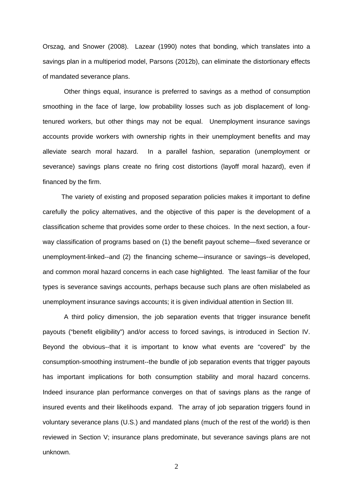Orszag, and Snower (2008). Lazear (1990) notes that bonding, which translates into a savings plan in a multiperiod model, Parsons (2012b), can eliminate the distortionary effects of mandated severance plans.

Other things equal, insurance is preferred to savings as a method of consumption smoothing in the face of large, low probability losses such as job displacement of longtenured workers, but other things may not be equal. Unemployment insurance savings accounts provide workers with ownership rights in their unemployment benefits and may alleviate search moral hazard. In a parallel fashion, separation (unemployment or severance) savings plans create no firing cost distortions (layoff moral hazard), even if financed by the firm.

The variety of existing and proposed separation policies makes it important to define carefully the policy alternatives, and the objective of this paper is the development of a classification scheme that provides some order to these choices. In the next section, a fourway classification of programs based on (1) the benefit payout scheme—fixed severance or unemployment-linked--and (2) the financing scheme—insurance or savings--is developed, and common moral hazard concerns in each case highlighted. The least familiar of the four types is severance savings accounts, perhaps because such plans are often mislabeled as unemployment insurance savings accounts; it is given individual attention in Section III.

A third policy dimension, the job separation events that trigger insurance benefit payouts ("benefit eligibility") and/or access to forced savings, is introduced in Section IV. Beyond the obvious--that it is important to know what events are "covered" by the consumption-smoothing instrument--the bundle of job separation events that trigger payouts has important implications for both consumption stability and moral hazard concerns. Indeed insurance plan performance converges on that of savings plans as the range of insured events and their likelihoods expand. The array of job separation triggers found in voluntary severance plans (U.S.) and mandated plans (much of the rest of the world) is then reviewed in Section V; insurance plans predominate, but severance savings plans are not unknown.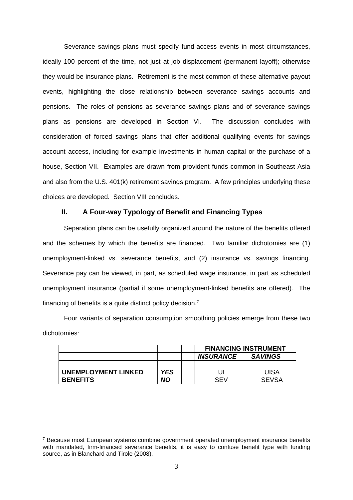Severance savings plans must specify fund-access events in most circumstances, ideally 100 percent of the time, not just at job displacement (permanent layoff); otherwise they would be insurance plans. Retirement is the most common of these alternative payout events, highlighting the close relationship between severance savings accounts and pensions. The roles of pensions as severance savings plans and of severance savings plans as pensions are developed in Section VI. The discussion concludes with consideration of forced savings plans that offer additional qualifying events for savings account access, including for example investments in human capital or the purchase of a house, Section VII. Examples are drawn from provident funds common in Southeast Asia and also from the U.S. 401(k) retirement savings program. A few principles underlying these choices are developed. Section VIII concludes.

### **II. A Four-way Typology of Benefit and Financing Types**

Separation plans can be usefully organized around the nature of the benefits offered and the schemes by which the benefits are financed. Two familiar dichotomies are (1) unemployment-linked vs. severance benefits, and (2) insurance vs. savings financing. Severance pay can be viewed, in part, as scheduled wage insurance, in part as scheduled unemployment insurance (partial if some unemployment-linked benefits are offered). The financing of benefits is a quite distinct policy decision.7

Four variants of separation consumption smoothing policies emerge from these two dichotomies:

|                            |            | <b>FINANCING INSTRUMENT</b> |                |
|----------------------------|------------|-----------------------------|----------------|
|                            |            | <b>INSURANCE</b>            | <b>SAVINGS</b> |
|                            |            |                             |                |
| <b>UNEMPLOYMENT LINKED</b> | <b>YES</b> |                             | UISA           |
| <b>BENEFITS</b>            | NΟ         | SFV                         | <b>SEVSA</b>   |

<sup>7</sup> Because most European systems combine government operated unemployment insurance benefits with mandated, firm-financed severance benefits, it is easy to confuse benefit type with funding source, as in Blanchard and Tirole (2008).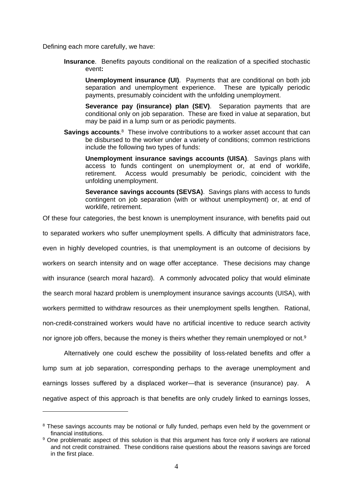Defining each more carefully, we have:

1

**Insurance**. Benefits payouts conditional on the realization of a specified stochastic event**:** 

**Unemployment insurance (UI)**. Payments that are conditional on both job separation and unemployment experience. These are typically periodic payments, presumably coincident with the unfolding unemployment.

**Severance pay (insurance) plan (SEV)**. Separation payments that are conditional only on job separation. These are fixed in value at separation, but may be paid in a lump sum or as periodic payments.

**Savings accounts.**<sup>8</sup> These involve contributions to a worker asset account that can be disbursed to the worker under a variety of conditions; common restrictions include the following two types of funds:

**Unemployment insurance savings accounts (UISA)**. Savings plans with access to funds contingent on unemployment or, at end of worklife, retirement. Access would presumably be periodic, coincident with the unfolding unemployment.

**Severance savings accounts (SEVSA)**. Savings plans with access to funds contingent on job separation (with or without unemployment) or, at end of worklife, retirement.

Of these four categories, the best known is unemployment insurance, with benefits paid out

to separated workers who suffer unemployment spells. A difficulty that administrators face,

even in highly developed countries, is that unemployment is an outcome of decisions by

workers on search intensity and on wage offer acceptance. These decisions may change

with insurance (search moral hazard). A commonly advocated policy that would eliminate

the search moral hazard problem is unemployment insurance savings accounts (UISA), with

workers permitted to withdraw resources as their unemployment spells lengthen. Rational,

non-credit-constrained workers would have no artificial incentive to reduce search activity

nor ignore job offers, because the money is theirs whether they remain unemployed or not.<sup>9</sup>

Alternatively one could eschew the possibility of loss-related benefits and offer a lump sum at job separation, corresponding perhaps to the average unemployment and earnings losses suffered by a displaced worker—that is severance (insurance) pay. A negative aspect of this approach is that benefits are only crudely linked to earnings losses,

<sup>&</sup>lt;sup>8</sup> These savings accounts may be notional or fully funded, perhaps even held by the government or financial institutions.

<sup>&</sup>lt;sup>9</sup> One problematic aspect of this solution is that this argument has force only if workers are rational and not credit constrained. These conditions raise questions about the reasons savings are forced in the first place.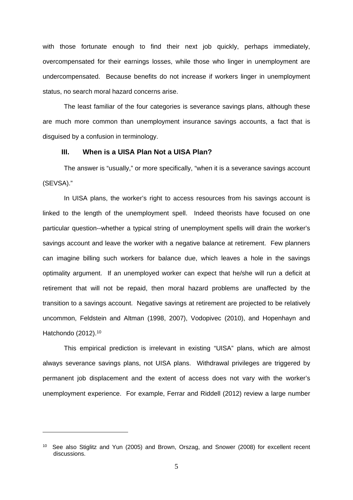with those fortunate enough to find their next job quickly, perhaps immediately, overcompensated for their earnings losses, while those who linger in unemployment are undercompensated. Because benefits do not increase if workers linger in unemployment status, no search moral hazard concerns arise.

The least familiar of the four categories is severance savings plans, although these are much more common than unemployment insurance savings accounts, a fact that is disguised by a confusion in terminology.

#### **III. When is a UISA Plan Not a UISA Plan?**

The answer is "usually," or more specifically, "when it is a severance savings account (SEVSA)."

In UISA plans, the worker's right to access resources from his savings account is linked to the length of the unemployment spell. Indeed theorists have focused on one particular question--whether a typical string of unemployment spells will drain the worker's savings account and leave the worker with a negative balance at retirement. Few planners can imagine billing such workers for balance due, which leaves a hole in the savings optimality argument. If an unemployed worker can expect that he/she will run a deficit at retirement that will not be repaid, then moral hazard problems are unaffected by the transition to a savings account. Negative savings at retirement are projected to be relatively uncommon, Feldstein and Altman (1998, 2007), Vodopivec (2010), and Hopenhayn and Hatchondo (2012).<sup>10</sup>

This empirical prediction is irrelevant in existing "UISA" plans, which are almost always severance savings plans, not UISA plans. Withdrawal privileges are triggered by permanent job displacement and the extent of access does not vary with the worker's unemployment experience. For example, Ferrar and Riddell (2012) review a large number

<sup>&</sup>lt;sup>10</sup> See also Stiglitz and Yun (2005) and Brown, Orszag, and Snower (2008) for excellent recent discussions.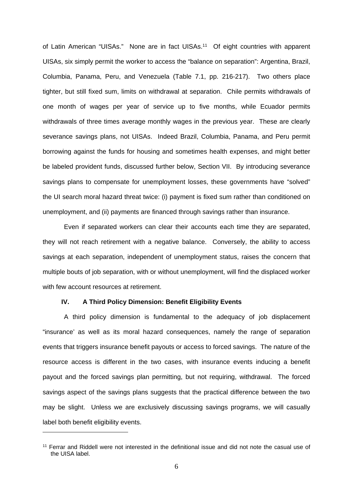of Latin American "UISAs." None are in fact UISAs.<sup>11</sup> Of eight countries with apparent UISAs, six simply permit the worker to access the "balance on separation": Argentina, Brazil, Columbia, Panama, Peru, and Venezuela (Table 7.1, pp. 216-217). Two others place tighter, but still fixed sum, limits on withdrawal at separation. Chile permits withdrawals of one month of wages per year of service up to five months, while Ecuador permits withdrawals of three times average monthly wages in the previous year. These are clearly severance savings plans, not UISAs. Indeed Brazil, Columbia, Panama, and Peru permit borrowing against the funds for housing and sometimes health expenses, and might better be labeled provident funds, discussed further below, Section VII. By introducing severance savings plans to compensate for unemployment losses, these governments have "solved" the UI search moral hazard threat twice: (i) payment is fixed sum rather than conditioned on unemployment, and (ii) payments are financed through savings rather than insurance.

Even if separated workers can clear their accounts each time they are separated, they will not reach retirement with a negative balance. Conversely, the ability to access savings at each separation, independent of unemployment status, raises the concern that multiple bouts of job separation, with or without unemployment, will find the displaced worker with few account resources at retirement.

#### **IV. A Third Policy Dimension: Benefit Eligibility Events**

1

A third policy dimension is fundamental to the adequacy of job displacement "insurance' as well as its moral hazard consequences, namely the range of separation events that triggers insurance benefit payouts or access to forced savings. The nature of the resource access is different in the two cases, with insurance events inducing a benefit payout and the forced savings plan permitting, but not requiring, withdrawal. The forced savings aspect of the savings plans suggests that the practical difference between the two may be slight. Unless we are exclusively discussing savings programs, we will casually label both benefit eligibility events.

<sup>&</sup>lt;sup>11</sup> Ferrar and Riddell were not interested in the definitional issue and did not note the casual use of the UISA label.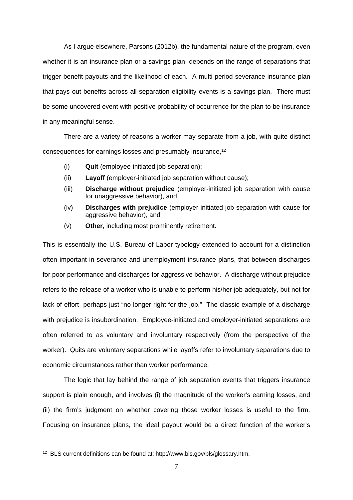As I argue elsewhere, Parsons (2012b), the fundamental nature of the program, even whether it is an insurance plan or a savings plan, depends on the range of separations that trigger benefit payouts and the likelihood of each. A multi-period severance insurance plan that pays out benefits across all separation eligibility events is a savings plan. There must be some uncovered event with positive probability of occurrence for the plan to be insurance in any meaningful sense.

There are a variety of reasons a worker may separate from a job, with quite distinct consequences for earnings losses and presumably insurance,<sup>12</sup>

- (i) **Quit** (employee-initiated job separation);
- (ii) **Layoff** (employer-initiated job separation without cause);
- (iii) **Discharge without prejudice** (employer-initiated job separation with cause for unaggressive behavior), and
- (iv) **Discharges with prejudice** (employer-initiated job separation with cause for aggressive behavior), and
- (v) **Other**, including most prominently retirement.

This is essentially the U.S. Bureau of Labor typology extended to account for a distinction often important in severance and unemployment insurance plans, that between discharges for poor performance and discharges for aggressive behavior. A discharge without prejudice refers to the release of a worker who is unable to perform his/her job adequately, but not for lack of effort--perhaps just "no longer right for the job." The classic example of a discharge with prejudice is insubordination. Employee-initiated and employer-initiated separations are often referred to as voluntary and involuntary respectively (from the perspective of the worker). Quits are voluntary separations while layoffs refer to involuntary separations due to economic circumstances rather than worker performance.

The logic that lay behind the range of job separation events that triggers insurance support is plain enough, and involves (i) the magnitude of the worker's earning losses, and (ii) the firm's judgment on whether covering those worker losses is useful to the firm. Focusing on insurance plans, the ideal payout would be a direct function of the worker's

<sup>12</sup> BLS current definitions can be found at: http://www.bls.gov/bls/glossary.htm.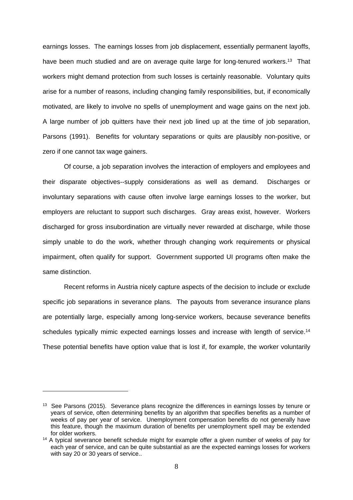earnings losses. The earnings losses from job displacement, essentially permanent layoffs, have been much studied and are on average quite large for long-tenured workers.<sup>13</sup> That workers might demand protection from such losses is certainly reasonable. Voluntary quits arise for a number of reasons, including changing family responsibilities, but, if economically motivated, are likely to involve no spells of unemployment and wage gains on the next job. A large number of job quitters have their next job lined up at the time of job separation, Parsons (1991). Benefits for voluntary separations or quits are plausibly non-positive, or zero if one cannot tax wage gainers.

Of course, a job separation involves the interaction of employers and employees and their disparate objectives--supply considerations as well as demand. Discharges or involuntary separations with cause often involve large earnings losses to the worker, but employers are reluctant to support such discharges. Gray areas exist, however. Workers discharged for gross insubordination are virtually never rewarded at discharge, while those simply unable to do the work, whether through changing work requirements or physical impairment, often qualify for support. Government supported UI programs often make the same distinction.

Recent reforms in Austria nicely capture aspects of the decision to include or exclude specific job separations in severance plans. The payouts from severance insurance plans are potentially large, especially among long-service workers, because severance benefits schedules typically mimic expected earnings losses and increase with length of service.<sup>14</sup> These potential benefits have option value that is lost if, for example, the worker voluntarily

<sup>&</sup>lt;sup>13</sup> See Parsons (2015). Severance plans recognize the differences in earnings losses by tenure or years of service, often determining benefits by an algorithm that specifies benefits as a number of weeks of pay per year of service. Unemployment compensation benefits do not generally have this feature, though the maximum duration of benefits per unemployment spell may be extended for older workers.

<sup>&</sup>lt;sup>14</sup> A typical severance benefit schedule might for example offer a given number of weeks of pay for each year of service, and can be quite substantial as are the expected earnings losses for workers with say 20 or 30 years of service..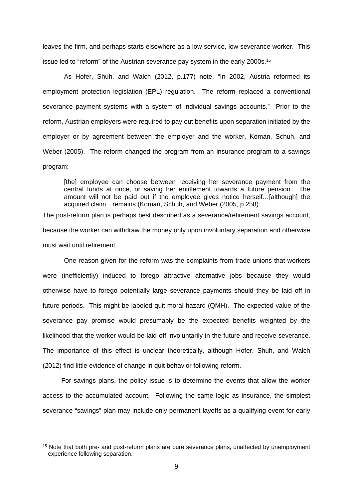leaves the firm, and perhaps starts elsewhere as a low service, low severance worker. This issue led to "reform" of the Austrian severance pay system in the early 2000s.<sup>15</sup>

As Hofer, Shuh, and Walch (2012, p.177) note, "In 2002, Austria reformed its employment protection legislation (EPL) regulation. The reform replaced a conventional severance payment systems with a system of individual savings accounts." Prior to the reform, Austrian employers were required to pay out benefits upon separation initiated by the employer or by agreement between the employer and the worker, Koman, Schuh, and Weber (2005). The reform changed the program from an insurance program to a savings program:

[the] employee can choose between receiving her severance payment from the central funds at once, or saving her entitlement towards a future pension. The amount will not be paid out if the employee gives notice herself…[although] the acquired claim…remains (Koman, Schuh, and Weber (2005, p.258).

The post-reform plan is perhaps best described as a severance/retirement savings account, because the worker can withdraw the money only upon involuntary separation and otherwise must wait until retirement.

One reason given for the reform was the complaints from trade unions that workers were (inefficiently) induced to forego attractive alternative jobs because they would otherwise have to forego potentially large severance payments should they be laid off in future periods. This might be labeled quit moral hazard (QMH). The expected value of the severance pay promise would presumably be the expected benefits weighted by the likelihood that the worker would be laid off involuntarily in the future and receive severance. The importance of this effect is unclear theoretically, although Hofer, Shuh, and Walch (2012) find little evidence of change in quit behavior following reform.

For savings plans, the policy issue is to determine the events that allow the worker access to the accumulated account. Following the same logic as insurance, the simplest severance "savings" plan may include only permanent layoffs as a qualifying event for early

<sup>&</sup>lt;sup>15</sup> Note that both pre- and post-reform plans are pure severance plans, unaffected by unemployment experience following separation.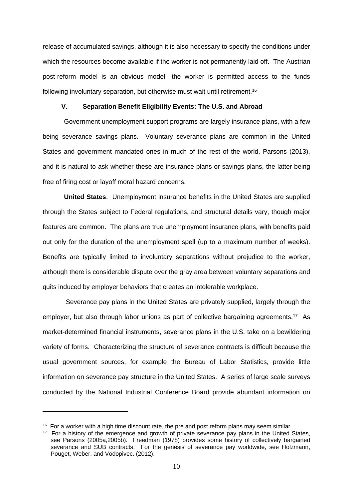release of accumulated savings, although it is also necessary to specify the conditions under which the resources become available if the worker is not permanently laid off. The Austrian post-reform model is an obvious model—the worker is permitted access to the funds following involuntary separation, but otherwise must wait until retirement.16

#### **V. Separation Benefit Eligibility Events: The U.S. and Abroad**

Government unemployment support programs are largely insurance plans, with a few being severance savings plans. Voluntary severance plans are common in the United States and government mandated ones in much of the rest of the world, Parsons (2013), and it is natural to ask whether these are insurance plans or savings plans, the latter being free of firing cost or layoff moral hazard concerns.

**United States**. Unemployment insurance benefits in the United States are supplied through the States subject to Federal regulations, and structural details vary, though major features are common. The plans are true unemployment insurance plans, with benefits paid out only for the duration of the unemployment spell (up to a maximum number of weeks). Benefits are typically limited to involuntary separations without prejudice to the worker, although there is considerable dispute over the gray area between voluntary separations and quits induced by employer behaviors that creates an intolerable workplace.

 Severance pay plans in the United States are privately supplied, largely through the employer, but also through labor unions as part of collective bargaining agreements.17 As market-determined financial instruments, severance plans in the U.S. take on a bewildering variety of forms. Characterizing the structure of severance contracts is difficult because the usual government sources, for example the Bureau of Labor Statistics, provide little information on severance pay structure in the United States. A series of large scale surveys conducted by the National Industrial Conference Board provide abundant information on

 $16$  For a worker with a high time discount rate, the pre and post reform plans may seem similar.

 $17$  For a history of the emergence and growth of private severance pay plans in the United States, see Parsons (2005a,2005b). Freedman (1978) provides some history of collectively bargained severance and SUB contracts. For the genesis of severance pay worldwide, see Holzmann, Pouget, Weber, and Vodopivec. (2012).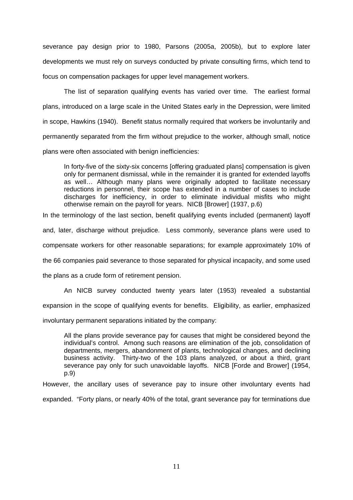severance pay design prior to 1980, Parsons (2005a, 2005b), but to explore later developments we must rely on surveys conducted by private consulting firms, which tend to focus on compensation packages for upper level management workers.

The list of separation qualifying events has varied over time. The earliest formal plans, introduced on a large scale in the United States early in the Depression, were limited in scope, Hawkins (1940). Benefit status normally required that workers be involuntarily and permanently separated from the firm without prejudice to the worker, although small, notice plans were often associated with benign inefficiencies:

In forty-five of the sixty-six concerns [offering graduated plans] compensation is given only for permanent dismissal, while in the remainder it is granted for extended layoffs as well… Although many plans were originally adopted to facilitate necessary reductions in personnel, their scope has extended in a number of cases to include discharges for inefficiency, in order to eliminate individual misfits who might otherwise remain on the payroll for years. NICB [Brower] (1937, p.6)

In the terminology of the last section, benefit qualifying events included (permanent) layoff

and, later, discharge without prejudice. Less commonly, severance plans were used to

compensate workers for other reasonable separations; for example approximately 10% of

the 66 companies paid severance to those separated for physical incapacity, and some used

the plans as a crude form of retirement pension.

An NICB survey conducted twenty years later (1953) revealed a substantial

expansion in the scope of qualifying events for benefits. Eligibility, as earlier, emphasized

involuntary permanent separations initiated by the company:

All the plans provide severance pay for causes that might be considered beyond the individual's control. Among such reasons are elimination of the job, consolidation of departments, mergers, abandonment of plants, technological changes, and declining business activity. Thirty-two of the 103 plans analyzed, or about a third, grant severance pay only for such unavoidable layoffs. NICB [Forde and Brower] (1954, p.9)

However, the ancillary uses of severance pay to insure other involuntary events had expanded. "Forty plans, or nearly 40% of the total, grant severance pay for terminations due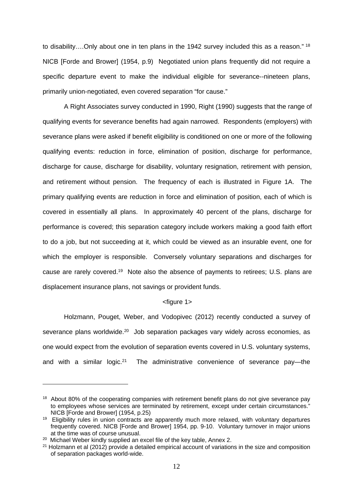to disability....Only about one in ten plans in the 1942 survey included this as a reason." <sup>18</sup> NICB [Forde and Brower] (1954, p.9) Negotiated union plans frequently did not require a specific departure event to make the individual eligible for severance--nineteen plans, primarily union-negotiated, even covered separation "for cause."

A Right Associates survey conducted in 1990, Right (1990) suggests that the range of qualifying events for severance benefits had again narrowed. Respondents (employers) with severance plans were asked if benefit eligibility is conditioned on one or more of the following qualifying events: reduction in force, elimination of position, discharge for performance, discharge for cause, discharge for disability, voluntary resignation, retirement with pension, and retirement without pension. The frequency of each is illustrated in Figure 1A. The primary qualifying events are reduction in force and elimination of position, each of which is covered in essentially all plans. In approximately 40 percent of the plans, discharge for performance is covered; this separation category include workers making a good faith effort to do a job, but not succeeding at it, which could be viewed as an insurable event, one for which the employer is responsible. Conversely voluntary separations and discharges for cause are rarely covered.19 Note also the absence of payments to retirees; U.S. plans are displacement insurance plans, not savings or provident funds.

#### <figure 1>

Holzmann, Pouget, Weber, and Vodopivec (2012) recently conducted a survey of severance plans worldwide.<sup>20</sup> Job separation packages vary widely across economies, as one would expect from the evolution of separation events covered in U.S. voluntary systems, and with a similar logic.<sup>21</sup> The administrative convenience of severance pay—the

<u>.</u>

<sup>&</sup>lt;sup>18</sup> About 80% of the cooperating companies with retirement benefit plans do not give severance pay to employees whose services are terminated by retirement, except under certain circumstances." NICB [Forde and Brower] (1954, p.25)

<sup>&</sup>lt;sup>19</sup> Eligibility rules in union contracts are apparently much more relaxed, with voluntary departures frequently covered. NICB [Forde and Brower] 1954, pp. 9-10. Voluntary turnover in major unions at the time was of course unusual.

<sup>&</sup>lt;sup>20</sup> Michael Weber kindly supplied an excel file of the key table, Annex 2.

 $21$  Holzmann et al (2012) provide a detailed empirical account of variations in the size and composition of separation packages world-wide.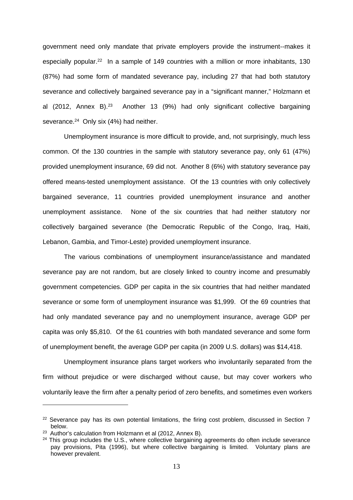government need only mandate that private employers provide the instrument--makes it especially popular.<sup>22</sup> In a sample of 149 countries with a million or more inhabitants, 130 (87%) had some form of mandated severance pay, including 27 that had both statutory severance and collectively bargained severance pay in a "significant manner," Holzmann et al (2012, Annex B).<sup>23</sup> Another 13 (9%) had only significant collective bargaining severance.<sup>24</sup> Only six (4%) had neither.

Unemployment insurance is more difficult to provide, and, not surprisingly, much less common. Of the 130 countries in the sample with statutory severance pay, only 61 (47%) provided unemployment insurance, 69 did not. Another 8 (6%) with statutory severance pay offered means-tested unemployment assistance. Of the 13 countries with only collectively bargained severance, 11 countries provided unemployment insurance and another unemployment assistance. None of the six countries that had neither statutory nor collectively bargained severance (the Democratic Republic of the Congo, Iraq, Haiti, Lebanon, Gambia, and Timor-Leste) provided unemployment insurance.

The various combinations of unemployment insurance/assistance and mandated severance pay are not random, but are closely linked to country income and presumably government competencies. GDP per capita in the six countries that had neither mandated severance or some form of unemployment insurance was \$1,999. Of the 69 countries that had only mandated severance pay and no unemployment insurance, average GDP per capita was only \$5,810. Of the 61 countries with both mandated severance and some form of unemployment benefit, the average GDP per capita (in 2009 U.S. dollars) was \$14,418.

Unemployment insurance plans target workers who involuntarily separated from the firm without prejudice or were discharged without cause, but may cover workers who voluntarily leave the firm after a penalty period of zero benefits, and sometimes even workers

 $22$  Severance pay has its own potential limitations, the firing cost problem, discussed in Section 7 below.

<sup>&</sup>lt;sup>23</sup> Author's calculation from Holzmann et al (2012, Annex B).

 $24$  This group includes the U.S., where collective bargaining agreements do often include severance pay provisions, Pita (1996), but where collective bargaining is limited. Voluntary plans are however prevalent.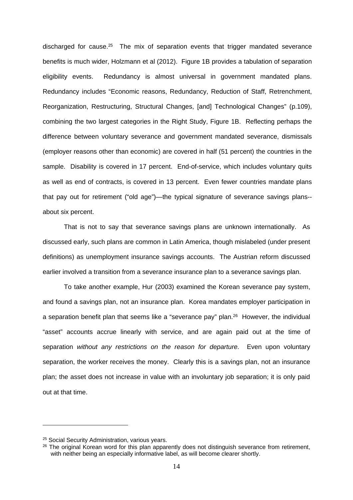discharged for cause.<sup>25</sup> The mix of separation events that trigger mandated severance benefits is much wider, Holzmann et al (2012). Figure 1B provides a tabulation of separation eligibility events. Redundancy is almost universal in government mandated plans. Redundancy includes "Economic reasons, Redundancy, Reduction of Staff, Retrenchment, Reorganization, Restructuring, Structural Changes, [and] Technological Changes" (p.109), combining the two largest categories in the Right Study, Figure 1B. Reflecting perhaps the difference between voluntary severance and government mandated severance, dismissals (employer reasons other than economic) are covered in half (51 percent) the countries in the sample. Disability is covered in 17 percent. End-of-service, which includes voluntary quits as well as end of contracts, is covered in 13 percent. Even fewer countries mandate plans that pay out for retirement ("old age")—the typical signature of severance savings plans- about six percent.

That is not to say that severance savings plans are unknown internationally. As discussed early, such plans are common in Latin America, though mislabeled (under present definitions) as unemployment insurance savings accounts. The Austrian reform discussed earlier involved a transition from a severance insurance plan to a severance savings plan.

To take another example, Hur (2003) examined the Korean severance pay system, and found a savings plan, not an insurance plan. Korea mandates employer participation in a separation benefit plan that seems like a "severance pay" plan.26 However, the individual "asset" accounts accrue linearly with service, and are again paid out at the time of separation *without any restrictions on the reason for departure.* Even upon voluntary separation, the worker receives the money. Clearly this is a savings plan, not an insurance plan; the asset does not increase in value with an involuntary job separation; it is only paid out at that time.

<sup>&</sup>lt;sup>25</sup> Social Security Administration, various years.

<sup>&</sup>lt;sup>26</sup> The original Korean word for this plan apparently does not distinguish severance from retirement, with neither being an especially informative label, as will become clearer shortly.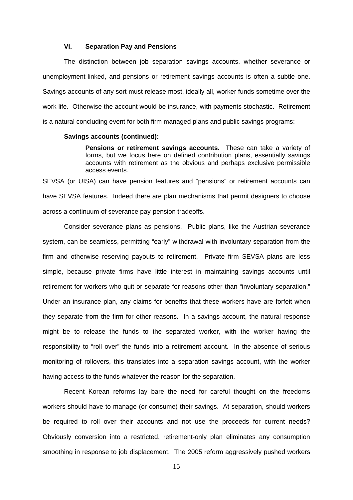#### **VI. Separation Pay and Pensions**

The distinction between job separation savings accounts, whether severance or unemployment-linked, and pensions or retirement savings accounts is often a subtle one. Savings accounts of any sort must release most, ideally all, worker funds sometime over the work life. Otherwise the account would be insurance, with payments stochastic. Retirement is a natural concluding event for both firm managed plans and public savings programs:

#### **Savings accounts (continued):**

**Pensions or retirement savings accounts.** These can take a variety of forms, but we focus here on defined contribution plans, essentially savings accounts with retirement as the obvious and perhaps exclusive permissible access events.

SEVSA (or UISA) can have pension features and "pensions" or retirement accounts can have SEVSA features. Indeed there are plan mechanisms that permit designers to choose across a continuum of severance pay-pension tradeoffs.

Consider severance plans as pensions. Public plans, like the Austrian severance system, can be seamless, permitting "early" withdrawal with involuntary separation from the firm and otherwise reserving payouts to retirement. Private firm SEVSA plans are less simple, because private firms have little interest in maintaining savings accounts until retirement for workers who quit or separate for reasons other than "involuntary separation." Under an insurance plan, any claims for benefits that these workers have are forfeit when they separate from the firm for other reasons. In a savings account, the natural response might be to release the funds to the separated worker, with the worker having the responsibility to "roll over" the funds into a retirement account. In the absence of serious monitoring of rollovers, this translates into a separation savings account, with the worker having access to the funds whatever the reason for the separation.

 Recent Korean reforms lay bare the need for careful thought on the freedoms workers should have to manage (or consume) their savings. At separation, should workers be required to roll over their accounts and not use the proceeds for current needs? Obviously conversion into a restricted, retirement-only plan eliminates any consumption smoothing in response to job displacement. The 2005 reform aggressively pushed workers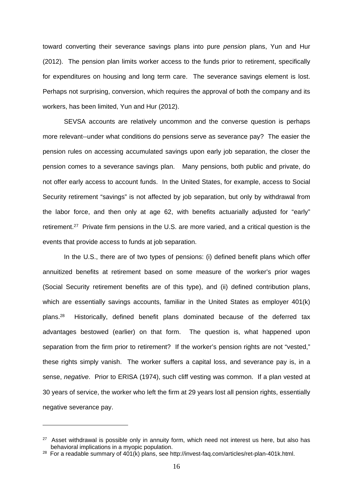toward converting their severance savings plans into pure *pension* plans, Yun and Hur (2012). The pension plan limits worker access to the funds prior to retirement, specifically for expenditures on housing and long term care. The severance savings element is lost. Perhaps not surprising, conversion, which requires the approval of both the company and its workers, has been limited, Yun and Hur (2012).

SEVSA accounts are relatively uncommon and the converse question is perhaps more relevant--under what conditions do pensions serve as severance pay? The easier the pension rules on accessing accumulated savings upon early job separation, the closer the pension comes to a severance savings plan. Many pensions, both public and private, do not offer early access to account funds. In the United States, for example, access to Social Security retirement "savings" is not affected by job separation, but only by withdrawal from the labor force, and then only at age 62, with benefits actuarially adjusted for "early" retirement.27 Private firm pensions in the U.S. are more varied, and a critical question is the events that provide access to funds at job separation.

In the U.S., there are of two types of pensions: (i) defined benefit plans which offer annuitized benefits at retirement based on some measure of the worker's prior wages (Social Security retirement benefits are of this type), and (ii) defined contribution plans, which are essentially savings accounts, familiar in the United States as employer 401(k) plans.28 Historically, defined benefit plans dominated because of the deferred tax advantages bestowed (earlier) on that form. The question is, what happened upon separation from the firm prior to retirement? If the worker's pension rights are not "vested," these rights simply vanish. The worker suffers a capital loss, and severance pay is, in a sense, *negative*. Prior to ERISA (1974), such cliff vesting was common. If a plan vested at 30 years of service, the worker who left the firm at 29 years lost all pension rights, essentially negative severance pay.

 $27$  Asset withdrawal is possible only in annuity form, which need not interest us here, but also has behavioral implications in a myopic population.

<sup>&</sup>lt;sup>28</sup> For a readable summary of 401(k) plans, see http://invest-faq.com/articles/ret-plan-401k.html.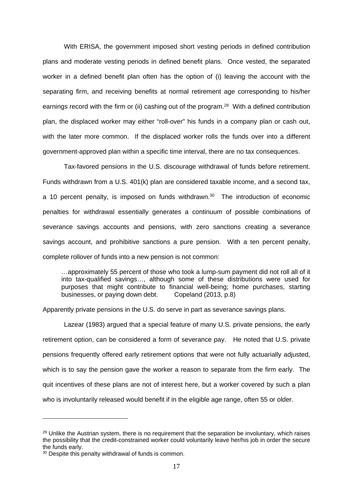With ERISA, the government imposed short vesting periods in defined contribution plans and moderate vesting periods in defined benefit plans. Once vested, the separated worker in a defined benefit plan often has the option of (i) leaving the account with the separating firm, and receiving benefits at normal retirement age corresponding to his/her earnings record with the firm or (ii) cashing out of the program.<sup>29</sup> With a defined contribution plan, the displaced worker may either "roll-over" his funds in a company plan or cash out, with the later more common. If the displaced worker rolls the funds over into a different government-approved plan within a specific time interval, there are no tax consequences.

Tax-favored pensions in the U.S. discourage withdrawal of funds before retirement. Funds withdrawn from a U.S. 401(k) plan are considered taxable income, and a second tax, a 10 percent penalty, is imposed on funds withdrawn.<sup>30</sup> The introduction of economic penalties for withdrawal essentially generates a continuum of possible combinations of severance savings accounts and pensions, with zero sanctions creating a severance savings account, and prohibitive sanctions a pure pension. With a ten percent penalty, complete rollover of funds into a new pension is not common:

…approximately 55 percent of those who took a lump-sum payment did not roll all of it into tax-qualified savings…, although some of these distributions were used for purposes that might contribute to financial well-being; home purchases, starting businesses, or paying down debt. Copeland (2013, p.8)

Apparently private pensions in the U.S. do serve in part as severance savings plans.

Lazear (1983) argued that a special feature of many U.S. private pensions, the early retirement option, can be considered a form of severance pay. He noted that U.S. private pensions frequently offered early retirement options that were not fully actuarially adjusted, which is to say the pension gave the worker a reason to separate from the firm early. The quit incentives of these plans are not of interest here, but a worker covered by such a plan who is involuntarily released would benefit if in the eligible age range, often 55 or older.

<sup>&</sup>lt;sup>29</sup> Unlike the Austrian system, there is no requirement that the separation be involuntary, which raises the possibility that the credit-constrained worker could voluntarily leave her/his job in order the secure the funds early.

<sup>&</sup>lt;sup>30</sup> Despite this penalty withdrawal of funds is common.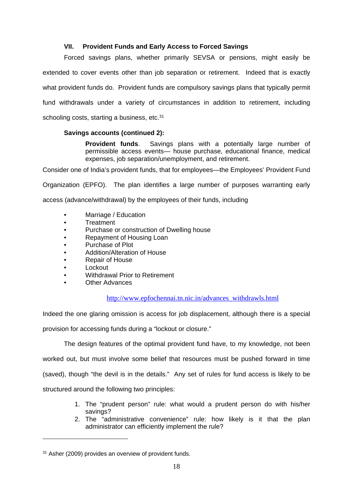#### **VII. Provident Funds and Early Access to Forced Savings**

Forced savings plans, whether primarily SEVSA or pensions, might easily be extended to cover events other than job separation or retirement. Indeed that is exactly what provident funds do. Provident funds are compulsory savings plans that typically permit fund withdrawals under a variety of circumstances in addition to retirement, including schooling costs, starting a business, etc.<sup>31</sup>

#### **Savings accounts (continued 2):**

**Provident funds**. Savings plans with a potentially large number of permissible access events— house purchase, educational finance, medical expenses, job separation/unemployment, and retirement.

Consider one of India's provident funds, that for employees—the Employees' Provident Fund

Organization (EPFO). The plan identifies a large number of purposes warranting early

access (advance/withdrawal) by the employees of their funds, including

- Marriage / Education
- Treatment
- Purchase or construction of Dwelling house
- Repayment of Housing Loan
- Purchase of Plot
- Addition/Alteration of House
- Repair of House
- **Lockout**
- Withdrawal Prior to Retirement
- **Other Advances**

#### http://www.epfochennai.tn.nic.in/advances\_withdrawls.html

Indeed the one glaring omission is access for job displacement, although there is a special

provision for accessing funds during a "lockout or closure."

The design features of the optimal provident fund have, to my knowledge, not been

worked out, but must involve some belief that resources must be pushed forward in time

(saved), though "the devil is in the details." Any set of rules for fund access is likely to be

structured around the following two principles:

- 1. The "prudent person" rule: what would a prudent person do with his/her savings?
- 2. The "administrative convenience" rule: how likely is it that the plan administrator can efficiently implement the rule?

<sup>31</sup> Asher (2009) provides an overview of provident funds.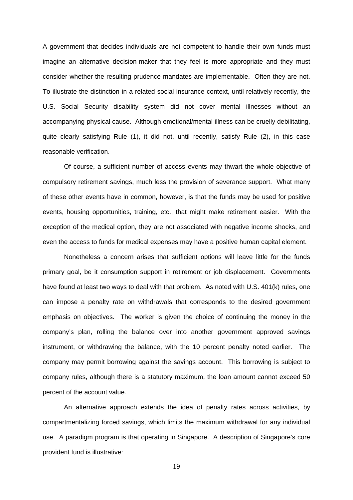A government that decides individuals are not competent to handle their own funds must imagine an alternative decision-maker that they feel is more appropriate and they must consider whether the resulting prudence mandates are implementable. Often they are not. To illustrate the distinction in a related social insurance context, until relatively recently, the U.S. Social Security disability system did not cover mental illnesses without an accompanying physical cause. Although emotional/mental illness can be cruelly debilitating, quite clearly satisfying Rule (1), it did not, until recently, satisfy Rule (2), in this case reasonable verification.

Of course, a sufficient number of access events may thwart the whole objective of compulsory retirement savings, much less the provision of severance support. What many of these other events have in common, however, is that the funds may be used for positive events, housing opportunities, training, etc., that might make retirement easier. With the exception of the medical option, they are not associated with negative income shocks, and even the access to funds for medical expenses may have a positive human capital element.

Nonetheless a concern arises that sufficient options will leave little for the funds primary goal, be it consumption support in retirement or job displacement. Governments have found at least two ways to deal with that problem. As noted with U.S. 401(k) rules, one can impose a penalty rate on withdrawals that corresponds to the desired government emphasis on objectives. The worker is given the choice of continuing the money in the company's plan, rolling the balance over into another government approved savings instrument, or withdrawing the balance, with the 10 percent penalty noted earlier. The company may permit borrowing against the savings account. This borrowing is subject to company rules, although there is a statutory maximum, the loan amount cannot exceed 50 percent of the account value.

An alternative approach extends the idea of penalty rates across activities, by compartmentalizing forced savings, which limits the maximum withdrawal for any individual use. A paradigm program is that operating in Singapore. A description of Singapore's core provident fund is illustrative: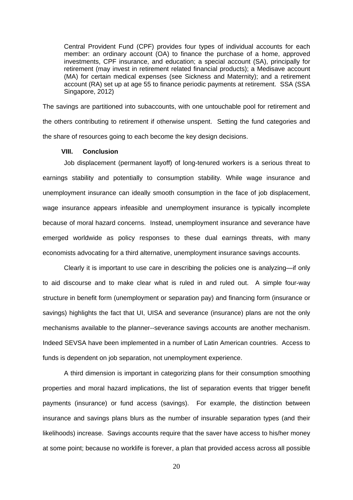Central Provident Fund (CPF) provides four types of individual accounts for each member: an ordinary account (OA) to finance the purchase of a home, approved investments, CPF insurance, and education; a special account (SA), principally for retirement (may invest in retirement related financial products); a Medisave account (MA) for certain medical expenses (see Sickness and Maternity); and a retirement account (RA) set up at age 55 to finance periodic payments at retirement. SSA (SSA Singapore, 2012)

The savings are partitioned into subaccounts, with one untouchable pool for retirement and the others contributing to retirement if otherwise unspent. Setting the fund categories and the share of resources going to each become the key design decisions.

#### **VIII. Conclusion**

Job displacement (permanent layoff) of long-tenured workers is a serious threat to earnings stability and potentially to consumption stability. While wage insurance and unemployment insurance can ideally smooth consumption in the face of job displacement, wage insurance appears infeasible and unemployment insurance is typically incomplete because of moral hazard concerns. Instead, unemployment insurance and severance have emerged worldwide as policy responses to these dual earnings threats, with many economists advocating for a third alternative, unemployment insurance savings accounts.

Clearly it is important to use care in describing the policies one is analyzing—if only to aid discourse and to make clear what is ruled in and ruled out. A simple four-way structure in benefit form (unemployment or separation pay) and financing form (insurance or savings) highlights the fact that UI, UISA and severance (insurance) plans are not the only mechanisms available to the planner--severance savings accounts are another mechanism. Indeed SEVSA have been implemented in a number of Latin American countries. Access to funds is dependent on job separation, not unemployment experience.

A third dimension is important in categorizing plans for their consumption smoothing properties and moral hazard implications, the list of separation events that trigger benefit payments (insurance) or fund access (savings). For example, the distinction between insurance and savings plans blurs as the number of insurable separation types (and their likelihoods) increase. Savings accounts require that the saver have access to his/her money at some point; because no worklife is forever, a plan that provided access across all possible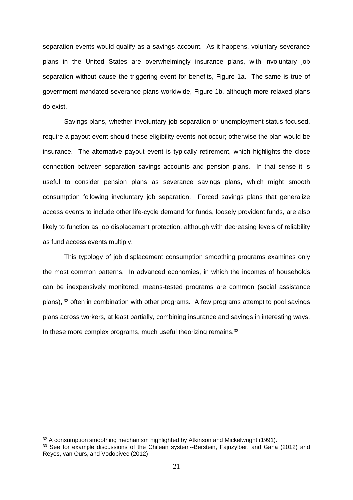separation events would qualify as a savings account. As it happens, voluntary severance plans in the United States are overwhelmingly insurance plans, with involuntary job separation without cause the triggering event for benefits, Figure 1a. The same is true of government mandated severance plans worldwide, Figure 1b, although more relaxed plans do exist.

Savings plans, whether involuntary job separation or unemployment status focused, require a payout event should these eligibility events not occur; otherwise the plan would be insurance. The alternative payout event is typically retirement, which highlights the close connection between separation savings accounts and pension plans. In that sense it is useful to consider pension plans as severance savings plans, which might smooth consumption following involuntary job separation. Forced savings plans that generalize access events to include other life-cycle demand for funds, loosely provident funds, are also likely to function as job displacement protection, although with decreasing levels of reliability as fund access events multiply.

This typology of job displacement consumption smoothing programs examines only the most common patterns. In advanced economies, in which the incomes of households can be inexpensively monitored, means-tested programs are common (social assistance plans), 32 often in combination with other programs. A few programs attempt to pool savings plans across workers, at least partially, combining insurance and savings in interesting ways. In these more complex programs, much useful theorizing remains.<sup>33</sup>

 $32$  A consumption smoothing mechanism highlighted by Atkinson and Mickelwright (1991).

<sup>&</sup>lt;sup>33</sup> See for example discussions of the Chilean system--Berstein, Fajnzylber, and Gana (2012) and Reyes, van Ours, and Vodopivec (2012)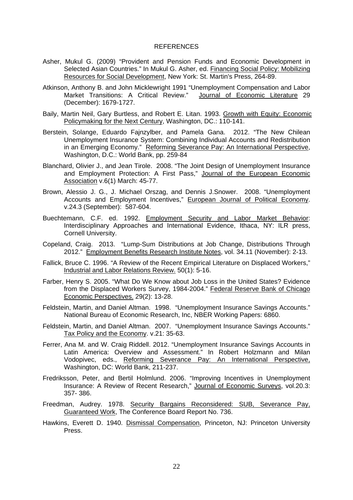#### REFERENCES

- Asher, Mukul G. (2009) "Provident and Pension Funds and Economic Development in Selected Asian Countries." In Mukul G. Asher, ed. Financing Social Policy: Mobilizing Resources for Social Development, New York: St. Martin's Press, 264-89.
- Atkinson, Anthony B. and John Micklewright 1991 "Unemployment Compensation and Labor Market Transitions: A Critical Review." Journal of Economic Literature 29 (December): 1679-1727.
- Baily, Martin Neil, Gary Burtless, and Robert E. Litan. 1993. Growth with Equity: Economic Policymaking for the Next Century, Washington, DC.: 110-141.
- Berstein, Solange, Eduardo Fajnzylber, and Pamela Gana. 2012. "The New Chilean Unemployment Insurance System: Combining Individual Accounts and Redistribution in an Emerging Economy." Reforming Severance Pay: An International Perspective, Washington, D.C.: World Bank, pp. 259-84
- Blanchard, Olivier J., and Jean Tirole. 2008. "The Joint Design of Unemployment Insurance and Employment Protection: A First Pass," Journal of the European Economic Association v.6(1) March: 45-77.
- Brown, Alessio J. G., J. Michael Orszag, and Dennis J.Snower. 2008. "Unemployment Accounts and Employment Incentives," European Journal of Political Economy. v.24.3 (September): 587-604.
- Buechtemann, C.F. ed. 1992. Employment Security and Labor Market Behavior: Interdisciplinary Approaches and International Evidence, Ithaca, NY: ILR press, Cornell University.
- Copeland, Craig. 2013. "Lump-Sum Distributions at Job Change, Distributions Through 2012." Employment Benefits Research Institute Notes, vol. 34.11 (November): 2-13.
- Fallick, Bruce C. 1996. "A Review of the Recent Empirical Literature on Displaced Workers," Industrial and Labor Relations Review. 50(1): 5-16.
- Farber, Henry S. 2005. "What Do We Know about Job Loss in the United States? Evidence from the Displaced Workers Survey, 1984-2004." Federal Reserve Bank of Chicago Economic Perspectives. 29(2): 13-28.
- Feldstein, Martin, and Daniel Altman. 1998. "Unemployment Insurance Savings Accounts." National Bureau of Economic Research, Inc, NBER Working Papers: 6860.
- Feldstein, Martin, and Daniel Altman. 2007. "Unemployment Insurance Savings Accounts." Tax Policy and the Economy. v.21: 35-63.
- Ferrer, Ana M. and W. Craig Riddell. 2012. "Unemployment Insurance Savings Accounts in Latin America: Overview and Assessment." In Robert Holzmann and Milan Vodopivec, eds., Reforming Severance Pay: An International Perspective, Washington, DC: World Bank, 211-237.
- Fredriksson, Peter, and Bertil Holmlund. 2006. "Improving Incentives in Unemployment Insurance: A Review of Recent Research," Journal of Economic Surveys, vol.20.3: 357- 386.
- Freedman, Audrey. 1978. Security Bargains Reconsidered: SUB, Severance Pay, Guaranteed Work, The Conference Board Report No. 736.
- Hawkins, Everett D. 1940. Dismissal Compensation, Princeton, NJ: Princeton University Press.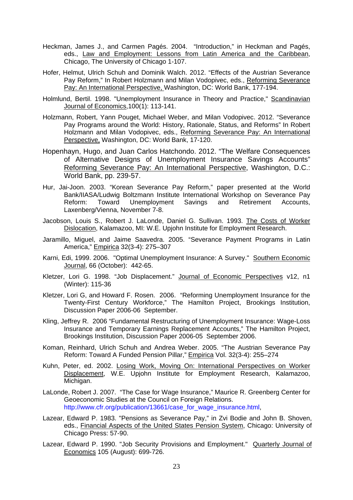- Heckman, James J., and Carmen Pagés. 2004. "Introduction," in Heckman and Pagés, eds., Law and Employment: Lessons from Latin America and the Caribbean, Chicago, The University of Chicago 1-107.
- Hofer, Helmut, Ulrich Schuh and Dominik Walch. 2012. "Effects of the Austrian Severance Pay Reform," In Robert Holzmann and Milan Vodopivec, eds., Reforming Severance Pay: An International Perspective, Washington, DC: World Bank, 177-194.
- Holmlund, Bertil. 1998. "Unemployment Insurance in Theory and Practice," Scandinavian Journal of Economics,100(1): 113-141.
- Holzmann, Robert, Yann Pouget, Michael Weber, and Milan Vodopivec. 2012. "Severance Pay Programs around the World: History, Rationale, Status, and Reforms" In Robert Holzmann and Milan Vodopivec, eds., Reforming Severance Pay: An International Perspective, Washington, DC: World Bank, 17-120.
- Hopenhayn, Hugo, and Juan Carlos Hatchondo. 2012. "The Welfare Consequences of Alternative Designs of Unemployment Insurance Savings Accounts" Reforming Severance Pay: An International Perspective, Washington, D.C.: World Bank, pp. 239-57.
- Hur, Jai-Joon. 2003. "Korean Severance Pay Reform," paper presented at the World Bank/IIASA/Ludwig Boltzmann Institute International Workshop on Severance Pay Reform: Toward Unemployment Savings and Retirement Accounts, Laxenberg/Vienna, November 7-8.
- Jacobson, Louis S., Robert J. LaLonde, Daniel G. Sullivan. 1993. The Costs of Worker Dislocation, Kalamazoo, MI: W.E. Upjohn Institute for Employment Research.
- Jaramillo, Miguel, and Jaime Saavedra. 2005. "Severance Payment Programs in Latin America," Empirica 32(3-4): 275–307
- Karni, Edi, 1999. 2006. "Optimal Unemployment Insurance: A Survey." Southern Economic Journal, 66 (October): 442-65.
- Kletzer, Lori G. 1998. "Job Displacement." Journal of Economic Perspectives v12, n1 (Winter): 115-36
- Kletzer, Lori G, and Howard F. Rosen. 2006. "Reforming Unemployment Insurance for the Twenty-First Century Workforce," The Hamilton Project, Brookings Institution, Discussion Paper 2006-06 September.
- Kling, Jeffrey R. 2006 "Fundamental Restructuring of Unemployment Insurance: Wage-Loss Insurance and Temporary Earnings Replacement Accounts," The Hamilton Project, Brookings Institution, Discussion Paper 2006-05 September 2006.
- Koman, Reinhard, Ulrich Schuh and Andrea Weber. 2005. "The Austrian Severance Pay Reform: Toward A Funded Pension Pillar," Empirica Vol. 32(3-4): 255–274
- Kuhn, Peter, ed. 2002. Losing Work, Moving On: International Perspectives on Worker Displacement, W.E. Upjohn Institute for Employment Research, Kalamazoo, Michigan.
- LaLonde, Robert J. 2007. "The Case for Wage Insurance," Maurice R. Greenberg Center for Geoeconomic Studies at the Council on Foreign Relations. http://www.cfr.org/publication/13661/case\_for\_wage\_insurance.html,
- Lazear, Edward P. 1983. "Pensions as Severance Pay," in Zvi Bodie and John B. Shoven, eds., Financial Aspects of the United States Pension System, Chicago: University of Chicago Press: 57-90.
- Lazear, Edward P. 1990. "Job Security Provisions and Employment." Quarterly Journal of Economics 105 (August): 699-726.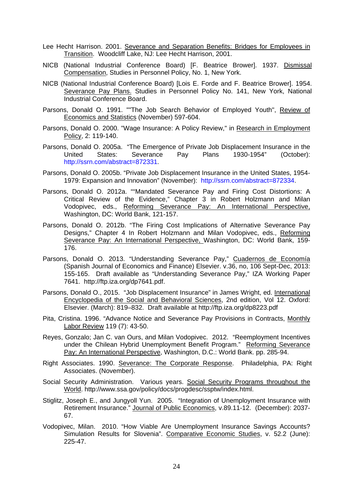- Lee Hecht Harrison. 2001. Severance and Separation Benefits: Bridges for Employees in Transition. Woodcliff Lake, NJ: Lee Hecht Harrison, 2001.
- NICB (National Industrial Conference Board) [F. Beatrice Brower]. 1937. Dismissal Compensation, Studies in Personnel Policy, No. 1, New York.
- NICB (National Industrial Conference Board) [Lois E. Forde and F. Beatrice Brower]. 1954. Severance Pay Plans. Studies in Personnel Policy No. 141, New York, National Industrial Conference Board.
- Parsons, Donald O. 1991. ""The Job Search Behavior of Employed Youth", Review of Economics and Statistics (November) 597-604.
- Parsons, Donald O. 2000. "Wage Insurance: A Policy Review," in Research in Employment Policy, 2: 119-140.
- Parsons, Donald O. 2005a. "The Emergence of Private Job Displacement Insurance in the United States: Severance Pay Plans 1930-1954" (October): http://ssrn.com/abstract=872331.
- Parsons, Donald O. 2005b. "Private Job Displacement Insurance in the United States, 1954- 1979: Expansion and Innovation" (November): http://ssrn.com/abstract=872334.
- Parsons, Donald O. 2012a. ""Mandated Severance Pay and Firing Cost Distortions: A Critical Review of the Evidence," Chapter 3 in Robert Holzmann and Milan Vodopivec, eds., Reforming Severance Pay: An International Perspective, Washington, DC: World Bank, 121-157.
- Parsons, Donald O. 2012b. "The Firing Cost Implications of Alternative Severance Pay Designs," Chapter 4 In Robert Holzmann and Milan Vodopivec, eds., Reforming Severance Pay: An International Perspective, Washington, DC: World Bank, 159-176.
- Parsons, Donald O. 2013. "Understanding Severance Pay," Cuadernos de Economía (Spanish Journal of Economics and Finance) Elsevier. v.36, no, 106 Sept-Dec, 2013: 155-165. Draft available as "Understanding Severance Pay," IZA Working Paper 7641. http://ftp.iza.org/dp7641.pdf.
- Parsons, Donald O., 2015. "Job Displacement Insurance" in James Wright, ed. International Encyclopedia of the Social and Behavioral Sciences, 2nd edition, Vol 12. Oxford: Elsevier. (March): 819–832. Draft available at http://ftp.iza.org/dp8223.pdf
- Pita, Cristina. 1996. "Advance Notice and Severance Pay Provisions in Contracts, Monthly Labor Review 119 (7): 43-50.
- Reyes, Gonzalo; Jan C. van Ours, and Milan Vodopivec. 2012. "Reemployment Incentives under the Chilean Hybrid Unemployment Benefit Program." Reforming Severance Pay: An International Perspective, Washington, D.C.: World Bank. pp. 285-94.
- Right Associates. 1990. Severance: The Corporate Response. Philadelphia, PA: Right Associates. (November).
- Social Security Administration. Various years. Social Security Programs throughout the World. http://www.ssa.gov/policy/docs/progdesc/ssptw/index.html.
- Stiglitz, Joseph E., and Jungyoll Yun. 2005. "Integration of Unemployment Insurance with Retirement Insurance." Journal of Public Economics, v.89.11-12. (December): 2037-67.
- Vodopivec, Milan. 2010. "How Viable Are Unemployment Insurance Savings Accounts? Simulation Results for Slovenia". Comparative Economic Studies, v. 52.2 (June): 225-47.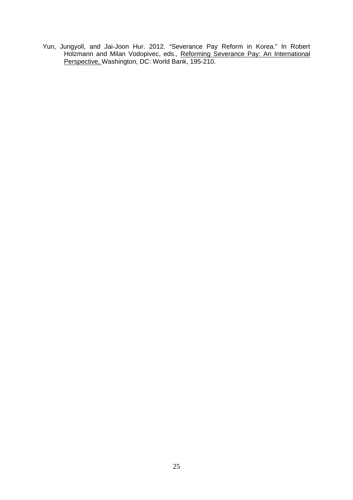Yun, Jungyoll, and Jai-Joon Hur. 2012. "Severance Pay Reform in Korea." In Robert Holzmann and Milan Vodopivec, eds., Reforming Severance Pay: An International Perspective, Washington, DC: World Bank, 195-210.